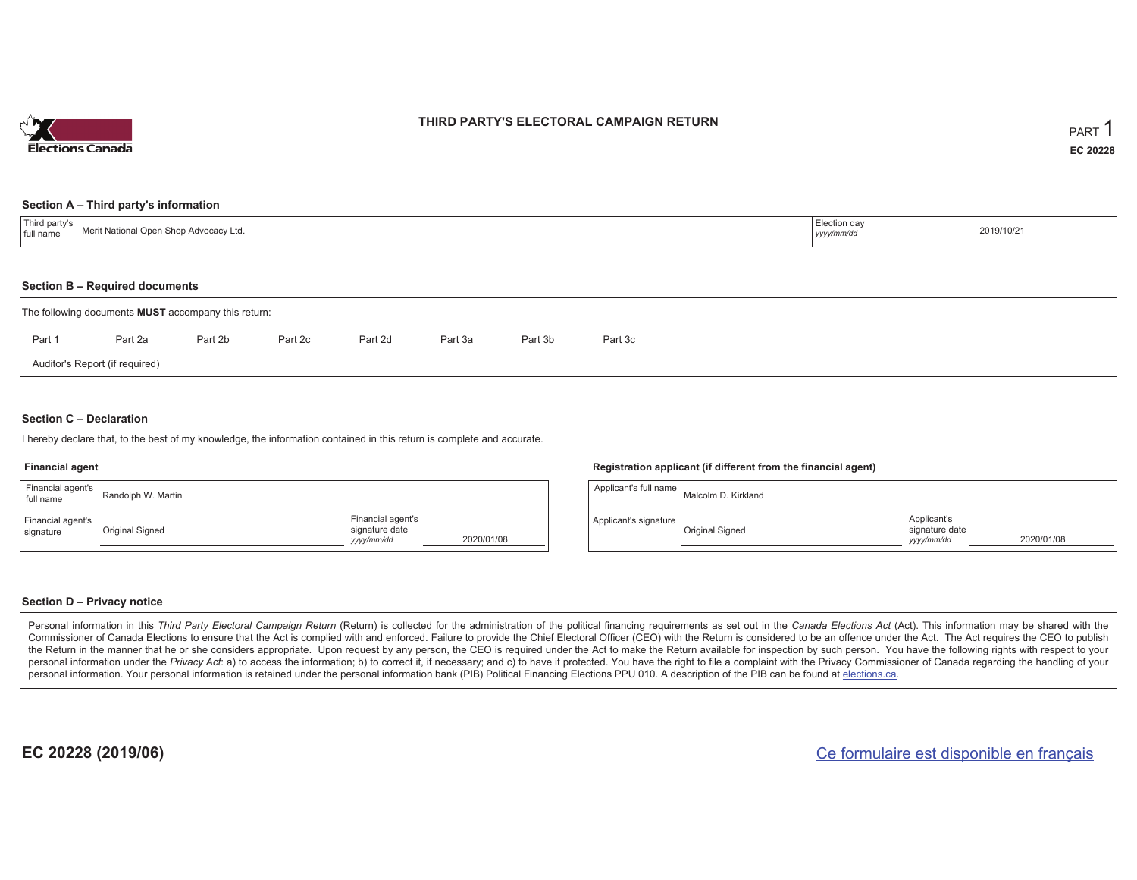

## **THIRD PARTY'S ELECTORAL CAMPAIGN RETURN**

### **Section A – Third party's information**

| <b>Third</b><br>™d partv<br>$+$ Notion<br>I full name<br>onal Oben Snob Advocacy Ltd. | ection dav<br><br>уууултт | 2019/10/21 |
|---------------------------------------------------------------------------------------|---------------------------|------------|
|---------------------------------------------------------------------------------------|---------------------------|------------|

### **Section B – Required documents**

|        | The following documents <b>MUST</b> accompany this return: |                                |         |         |         |         |         |  |  |  |  |  |  |
|--------|------------------------------------------------------------|--------------------------------|---------|---------|---------|---------|---------|--|--|--|--|--|--|
| Part 1 | Part 2a                                                    | Part 2b                        | Part 2c | Part 2d | Part 3a | Part 3b | Part 3c |  |  |  |  |  |  |
|        |                                                            | Auditor's Report (if required) |         |         |         |         |         |  |  |  |  |  |  |

### **Section C – Declaration**

I hereby declare that, to the best of my knowledge, the information contained in this return is complete and accurate.

#### **Financial agent**

| Financial agent's<br>full name | Randolph W. Martin |                                                   |            | Applicar |
|--------------------------------|--------------------|---------------------------------------------------|------------|----------|
| Financial agent's<br>signature | Original Signed    | Financial agent's<br>signature date<br>yyyy/mm/dd | 2020/01/08 | Applican |

#### **Registration applicant (if different from the financial agent)**

| Applicant's full name | Malcolm D. Kirkland |                                             |            |
|-----------------------|---------------------|---------------------------------------------|------------|
| Applicant's signature | Original Signed     | Applicant's<br>signature date<br>yyyy/mm/dd | 2020/01/08 |

### **Section D – Privacy notice**

Personal information in this Third Party Electoral Campaign Return (Return) is collected for the administration of the political financing requirements as set out in the Canada Elections Act (Act). This information may be Commissioner of Canada Elections to ensure that the Act is complied with and enforced. Failure to provide the Chief Electoral Officer (CEO) with the Return is considered to be an offence under the Act. The Act requires the the Return in the manner that he or she considers appropriate. Upon request by any person, the CEO is required under the Act to make the Return available for inspection by such person. You have the following rights with re personal information under the Privacy Act: a) to access the information; b) to correct it, if necessary; and c) to have it protected. You have the right to file a complaint with the Privacy Commissioner of Canada regardin personal information. Your personal information is retained under the personal information bank (PIB) Political Financing Elections PPU 010. A description of the PIB can be found at elections.ca.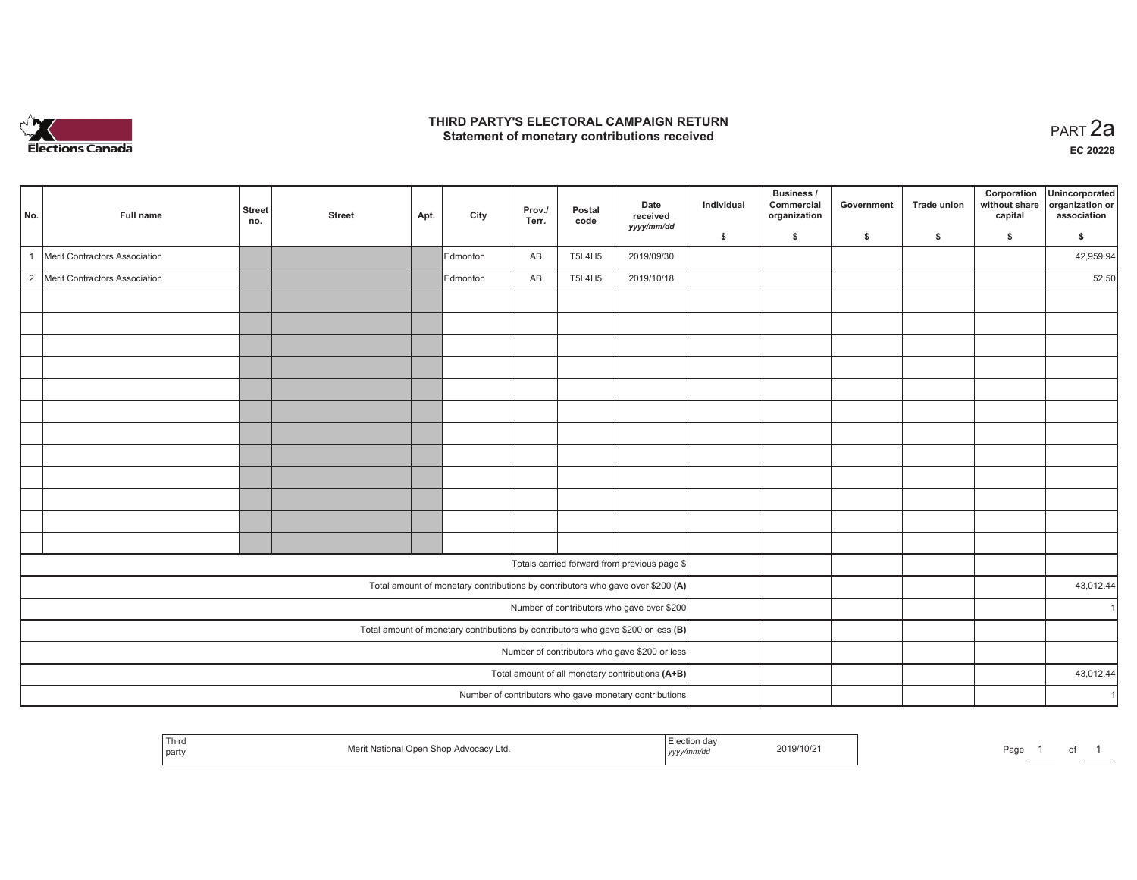

## **THIRD PARTY'S ELECTORAL CAMPAIGN RETURN HIRD PARTY'S ELECTORAL CAMPAIGN RETURN<br>Statement of monetary contributions received PART 2a**

| No.          | Full name                       | <b>Street</b><br>no. | <b>Street</b> | Apt. | City     | Prov./<br>Terr. | Postal<br>code | Date<br>received<br>yyyy/mm/dd                                                      | Individual | Business /<br>Commercial<br>organization | Government | <b>Trade union</b> | Corporation<br>without share<br>capital | Unincorporated<br>organization or<br>association |
|--------------|---------------------------------|----------------------|---------------|------|----------|-----------------|----------------|-------------------------------------------------------------------------------------|------------|------------------------------------------|------------|--------------------|-----------------------------------------|--------------------------------------------------|
|              |                                 |                      |               |      |          |                 |                |                                                                                     | \$         | \$                                       | \$         | \$                 | \$                                      | \$                                               |
| $\mathbf{1}$ | Merit Contractors Association   |                      |               |      | Edmonton | AB              | <b>T5L4H5</b>  | 2019/09/30                                                                          |            |                                          |            |                    |                                         | 42,959.94                                        |
|              | 2 Merit Contractors Association |                      |               |      | Edmonton | AB              | <b>T5L4H5</b>  | 2019/10/18                                                                          |            |                                          |            |                    |                                         | 52.50                                            |
|              |                                 |                      |               |      |          |                 |                |                                                                                     |            |                                          |            |                    |                                         |                                                  |
|              |                                 |                      |               |      |          |                 |                |                                                                                     |            |                                          |            |                    |                                         |                                                  |
|              |                                 |                      |               |      |          |                 |                |                                                                                     |            |                                          |            |                    |                                         |                                                  |
|              |                                 |                      |               |      |          |                 |                |                                                                                     |            |                                          |            |                    |                                         |                                                  |
|              |                                 |                      |               |      |          |                 |                |                                                                                     |            |                                          |            |                    |                                         |                                                  |
|              |                                 |                      |               |      |          |                 |                |                                                                                     |            |                                          |            |                    |                                         |                                                  |
|              |                                 |                      |               |      |          |                 |                |                                                                                     |            |                                          |            |                    |                                         |                                                  |
|              |                                 |                      |               |      |          |                 |                |                                                                                     |            |                                          |            |                    |                                         |                                                  |
|              |                                 |                      |               |      |          |                 |                |                                                                                     |            |                                          |            |                    |                                         |                                                  |
|              |                                 |                      |               |      |          |                 |                |                                                                                     |            |                                          |            |                    |                                         |                                                  |
|              |                                 |                      |               |      |          |                 |                |                                                                                     |            |                                          |            |                    |                                         |                                                  |
|              |                                 |                      |               |      |          |                 |                |                                                                                     |            |                                          |            |                    |                                         |                                                  |
|              |                                 |                      |               |      |          |                 |                | Totals carried forward from previous page \$                                        |            |                                          |            |                    |                                         |                                                  |
|              |                                 |                      |               |      |          |                 |                | Total amount of monetary contributions by contributors who gave over \$200 (A)      |            |                                          |            |                    |                                         | 43,012.44                                        |
|              |                                 |                      |               |      |          |                 |                | Number of contributors who gave over \$200                                          |            |                                          |            |                    |                                         | $\mathbf{1}$                                     |
|              |                                 |                      |               |      |          |                 |                | Total amount of monetary contributions by contributors who gave \$200 or less $(B)$ |            |                                          |            |                    |                                         |                                                  |
|              |                                 |                      |               |      |          |                 |                | Number of contributors who gave \$200 or less                                       |            |                                          |            |                    |                                         |                                                  |
|              |                                 |                      |               |      |          |                 |                | Total amount of all monetary contributions (A+B)                                    |            |                                          |            |                    |                                         | 43,012.44                                        |
|              |                                 |                      |               |      |          |                 |                | Number of contributors who gave monetary contributions                              |            |                                          |            |                    |                                         | $\overline{1}$                                   |

| Third<br>  party | . National Open Shop Advocacy Ltd.<br>viel II | n da<br>$\cdots$<br>, yyyy/mm/dd | 2019/10/2 | Page |  |  |  |
|------------------|-----------------------------------------------|----------------------------------|-----------|------|--|--|--|
|------------------|-----------------------------------------------|----------------------------------|-----------|------|--|--|--|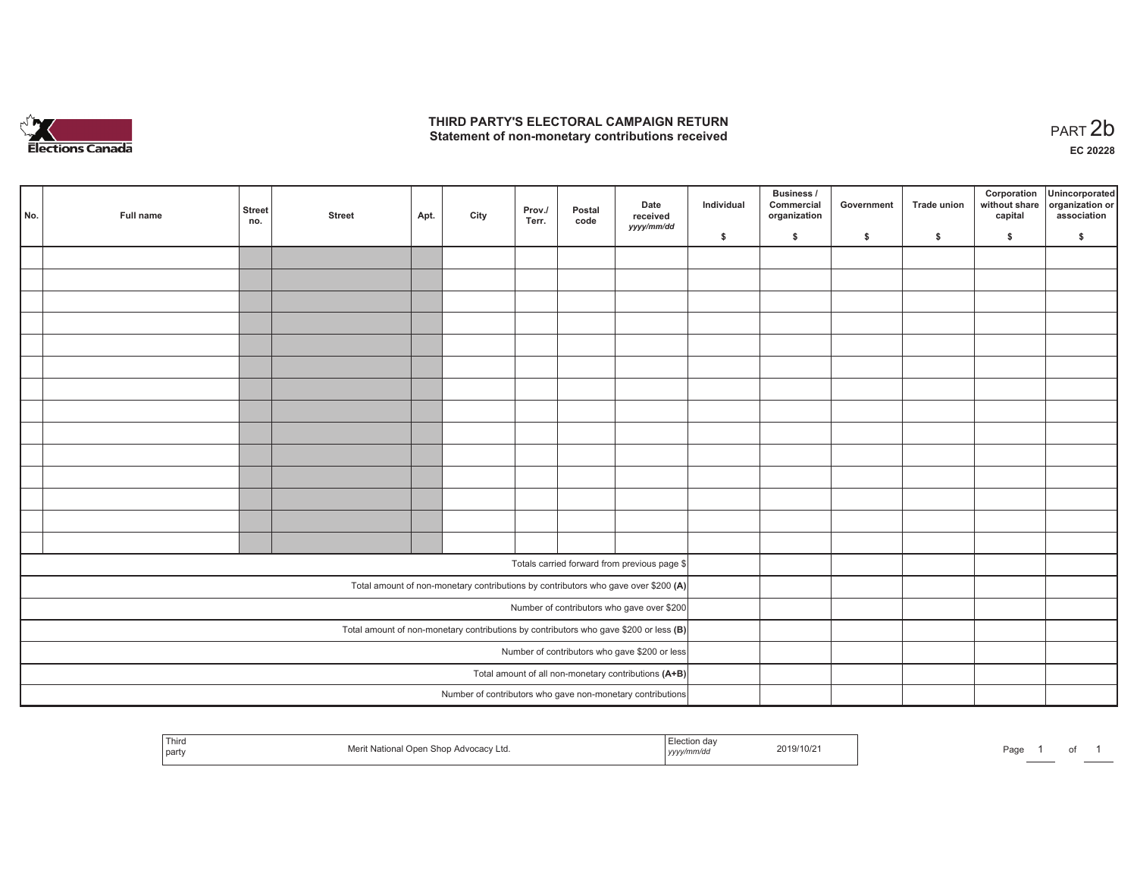

## **THIRD PARTY'S ELECTORAL CAMPAIGN RETURN**  THIRD PARTY'S ELECTORAL CAMPAIGN RETURN<br>Statement of non-monetary contributions received

of 1

| No. | Full name | <b>Street</b><br>no.                                                                  | <b>Street</b>                                 | Apt. | City | Prov./<br>Terr. | Postal<br>code | Date<br>received<br>yyyy/mm/dd                                                     | Individual | <b>Business /</b><br>Commercial<br>organization | Government | Trade union | Corporation<br>capital | Unincorporated<br>without share organization or<br>association |
|-----|-----------|---------------------------------------------------------------------------------------|-----------------------------------------------|------|------|-----------------|----------------|------------------------------------------------------------------------------------|------------|-------------------------------------------------|------------|-------------|------------------------|----------------------------------------------------------------|
|     |           |                                                                                       |                                               |      |      |                 |                |                                                                                    | \$         | \$                                              | \$         | \$          | \$                     | \$                                                             |
|     |           |                                                                                       |                                               |      |      |                 |                |                                                                                    |            |                                                 |            |             |                        |                                                                |
|     |           |                                                                                       |                                               |      |      |                 |                |                                                                                    |            |                                                 |            |             |                        |                                                                |
|     |           |                                                                                       |                                               |      |      |                 |                |                                                                                    |            |                                                 |            |             |                        |                                                                |
|     |           |                                                                                       |                                               |      |      |                 |                |                                                                                    |            |                                                 |            |             |                        |                                                                |
|     |           |                                                                                       |                                               |      |      |                 |                |                                                                                    |            |                                                 |            |             |                        |                                                                |
|     |           |                                                                                       |                                               |      |      |                 |                |                                                                                    |            |                                                 |            |             |                        |                                                                |
|     |           |                                                                                       |                                               |      |      |                 |                |                                                                                    |            |                                                 |            |             |                        |                                                                |
|     |           |                                                                                       |                                               |      |      |                 |                |                                                                                    |            |                                                 |            |             |                        |                                                                |
|     |           |                                                                                       |                                               |      |      |                 |                |                                                                                    |            |                                                 |            |             |                        |                                                                |
|     |           |                                                                                       |                                               |      |      |                 |                |                                                                                    |            |                                                 |            |             |                        |                                                                |
|     |           |                                                                                       |                                               |      |      |                 |                |                                                                                    |            |                                                 |            |             |                        |                                                                |
|     |           |                                                                                       |                                               |      |      |                 |                |                                                                                    |            |                                                 |            |             |                        |                                                                |
|     |           |                                                                                       |                                               |      |      |                 |                |                                                                                    |            |                                                 |            |             |                        |                                                                |
|     |           |                                                                                       |                                               |      |      |                 |                |                                                                                    |            |                                                 |            |             |                        |                                                                |
|     |           |                                                                                       |                                               |      |      |                 |                | Totals carried forward from previous page \$                                       |            |                                                 |            |             |                        |                                                                |
|     |           |                                                                                       |                                               |      |      |                 |                |                                                                                    |            |                                                 |            |             |                        |                                                                |
|     |           |                                                                                       |                                               |      |      |                 |                | Total amount of non-monetary contributions by contributors who gave over \$200 (A) |            |                                                 |            |             |                        |                                                                |
|     |           |                                                                                       |                                               |      |      |                 |                | Number of contributors who gave over \$200                                         |            |                                                 |            |             |                        |                                                                |
|     |           | Total amount of non-monetary contributions by contributors who gave \$200 or less (B) |                                               |      |      |                 |                |                                                                                    |            |                                                 |            |             |                        |                                                                |
|     |           |                                                                                       | Number of contributors who gave \$200 or less |      |      |                 |                |                                                                                    |            |                                                 |            |             |                        |                                                                |
|     |           |                                                                                       |                                               |      |      |                 |                | Total amount of all non-monetary contributions (A+B)                               |            |                                                 |            |             |                        |                                                                |
|     |           |                                                                                       |                                               |      |      |                 |                | Number of contributors who gave non-monetary contributions                         |            |                                                 |            |             |                        |                                                                |

| Third<br>  party | า Shop Advocacv Ltd.<br>l Onen | Election dav<br>י <i>אטווווויט.</i><br>,,,,, | 2019/10/21 | Page<br>____ |
|------------------|--------------------------------|----------------------------------------------|------------|--------------|
|------------------|--------------------------------|----------------------------------------------|------------|--------------|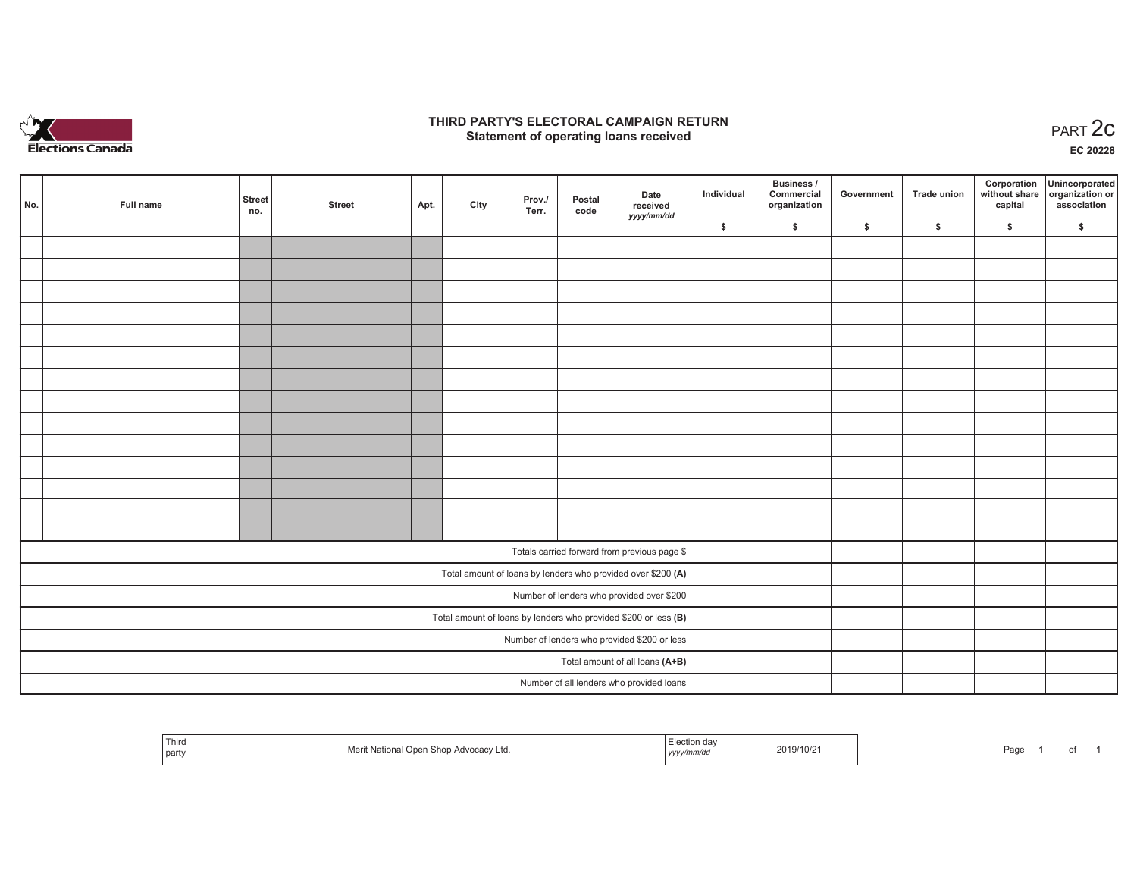

## **THIRD PARTY'S ELECTORAL CAMPAIGN RETURN STATE:** PARTY'S ELECTORAL CAMPAIGN RETURN<br>
Statement of operating loans received

**EC 20228**

| No. | Full name | <b>Street</b>                   | <b>Street</b> | Apt. | City | Prov./ | Postal | Date<br>received                                                  | Individual | <b>Business /</b><br>Commercial<br>organization | Government | <b>Trade union</b> | Corporation<br>capital | Unincorporated<br>without share organization or<br>association |
|-----|-----------|---------------------------------|---------------|------|------|--------|--------|-------------------------------------------------------------------|------------|-------------------------------------------------|------------|--------------------|------------------------|----------------------------------------------------------------|
|     |           | no.                             |               |      |      | Terr.  | code   | yyyy/mm/dd                                                        | \$         | \$                                              | \$         | \$                 | \$                     | \$                                                             |
|     |           |                                 |               |      |      |        |        |                                                                   |            |                                                 |            |                    |                        |                                                                |
|     |           |                                 |               |      |      |        |        |                                                                   |            |                                                 |            |                    |                        |                                                                |
|     |           |                                 |               |      |      |        |        |                                                                   |            |                                                 |            |                    |                        |                                                                |
|     |           |                                 |               |      |      |        |        |                                                                   |            |                                                 |            |                    |                        |                                                                |
|     |           |                                 |               |      |      |        |        |                                                                   |            |                                                 |            |                    |                        |                                                                |
|     |           |                                 |               |      |      |        |        |                                                                   |            |                                                 |            |                    |                        |                                                                |
|     |           |                                 |               |      |      |        |        |                                                                   |            |                                                 |            |                    |                        |                                                                |
|     |           |                                 |               |      |      |        |        |                                                                   |            |                                                 |            |                    |                        |                                                                |
|     |           |                                 |               |      |      |        |        |                                                                   |            |                                                 |            |                    |                        |                                                                |
|     |           |                                 |               |      |      |        |        |                                                                   |            |                                                 |            |                    |                        |                                                                |
|     |           |                                 |               |      |      |        |        |                                                                   |            |                                                 |            |                    |                        |                                                                |
|     |           |                                 |               |      |      |        |        |                                                                   |            |                                                 |            |                    |                        |                                                                |
|     |           |                                 |               |      |      |        |        |                                                                   |            |                                                 |            |                    |                        |                                                                |
|     |           |                                 |               |      |      |        |        |                                                                   |            |                                                 |            |                    |                        |                                                                |
|     |           |                                 |               |      |      |        |        | Totals carried forward from previous page \$                      |            |                                                 |            |                    |                        |                                                                |
|     |           |                                 |               |      |      |        |        | Total amount of loans by lenders who provided over \$200 (A)      |            |                                                 |            |                    |                        |                                                                |
|     |           |                                 |               |      |      |        |        | Number of lenders who provided over \$200                         |            |                                                 |            |                    |                        |                                                                |
|     |           |                                 |               |      |      |        |        | Total amount of loans by lenders who provided \$200 or less $(B)$ |            |                                                 |            |                    |                        |                                                                |
|     |           |                                 |               |      |      |        |        | Number of lenders who provided \$200 or less                      |            |                                                 |            |                    |                        |                                                                |
|     |           | Total amount of all loans (A+B) |               |      |      |        |        |                                                                   |            |                                                 |            |                    |                        |                                                                |
|     |           |                                 |               |      |      |        |        | Number of all lenders who provided loans                          |            |                                                 |            |                    |                        |                                                                |

| Third<br>Merit<br>ר National Open. ב<br>party | <i>∈</i> lection da <sup>,</sup><br>Advocacy Ltd.<br>en Shon Ai<br>yyyy/mm/dd | 2019/10/2 | Page |  |  |  |
|-----------------------------------------------|-------------------------------------------------------------------------------|-----------|------|--|--|--|
|-----------------------------------------------|-------------------------------------------------------------------------------|-----------|------|--|--|--|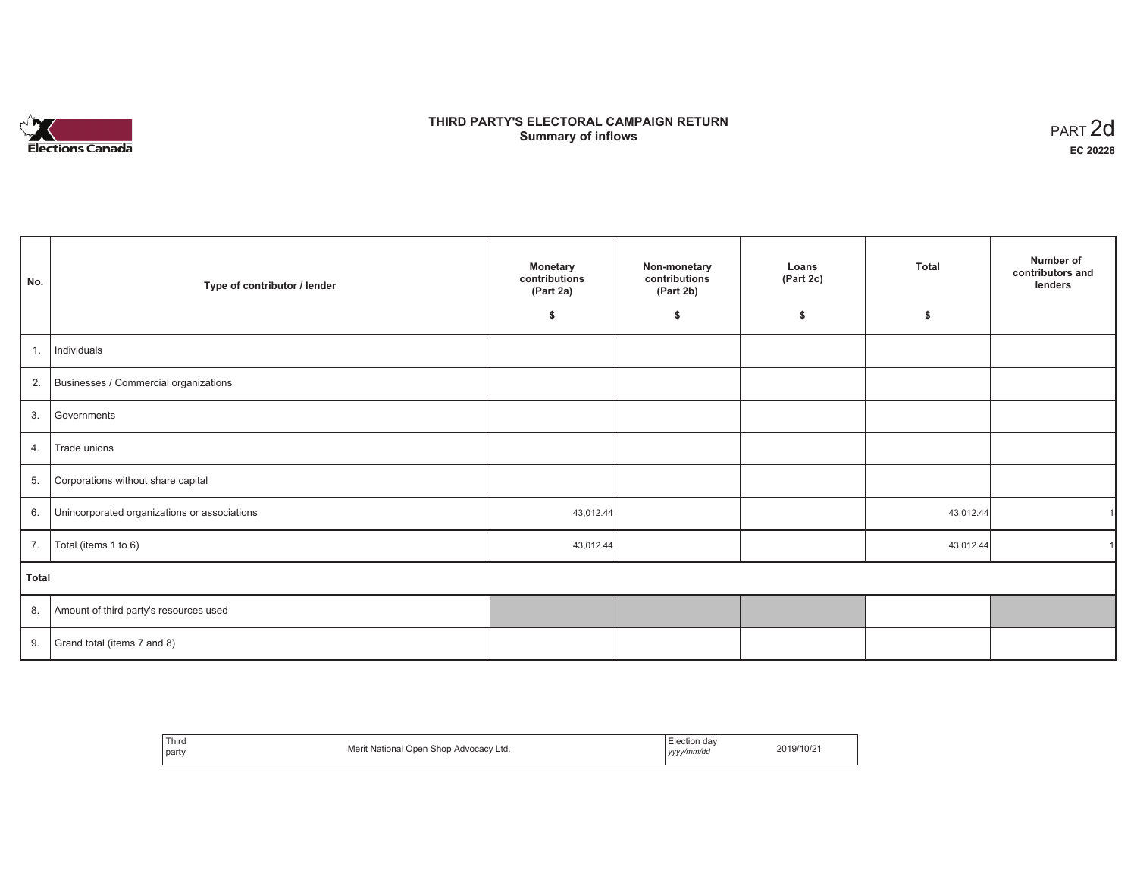

# **THIRD PARTY'S ELECTORAL CAMPAIGN RETURN S** ELECTORAL CAMPAIGN RETURN<br>Summary of inflows PART 2d

| No.   | Type of contributor / lender                    | <b>Monetary</b><br>contributions<br>(Part 2a) | Non-monetary<br>contributions<br>(Part 2b) | Loans<br>(Part 2c) | <b>Total</b> | Number of<br>contributors and<br>lenders |
|-------|-------------------------------------------------|-----------------------------------------------|--------------------------------------------|--------------------|--------------|------------------------------------------|
|       |                                                 | \$                                            | \$                                         | \$                 | \$           |                                          |
| 1.    | Individuals                                     |                                               |                                            |                    |              |                                          |
|       | 2. Businesses / Commercial organizations        |                                               |                                            |                    |              |                                          |
| 3.    | Governments                                     |                                               |                                            |                    |              |                                          |
| 4.    | Trade unions                                    |                                               |                                            |                    |              |                                          |
| 5.    | Corporations without share capital              |                                               |                                            |                    |              |                                          |
|       | 6. Unincorporated organizations or associations | 43,012.44                                     |                                            |                    | 43,012.44    |                                          |
|       | 7.   Total (items 1 to 6)                       | 43,012.44                                     |                                            |                    | 43,012.44    |                                          |
| Total |                                                 |                                               |                                            |                    |              |                                          |
|       | 8. Amount of third party's resources used       |                                               |                                            |                    |              |                                          |
|       | 9. Grand total (items $7$ and $8$ )             |                                               |                                            |                    |              |                                          |

| Third<br>party | Merit National Open Shop Advocacy Ltd. | $\overline{\phantom{0}}$<br>. Election day<br>yyyy/mm/dd | 2019/10/21 |
|----------------|----------------------------------------|----------------------------------------------------------|------------|
|----------------|----------------------------------------|----------------------------------------------------------|------------|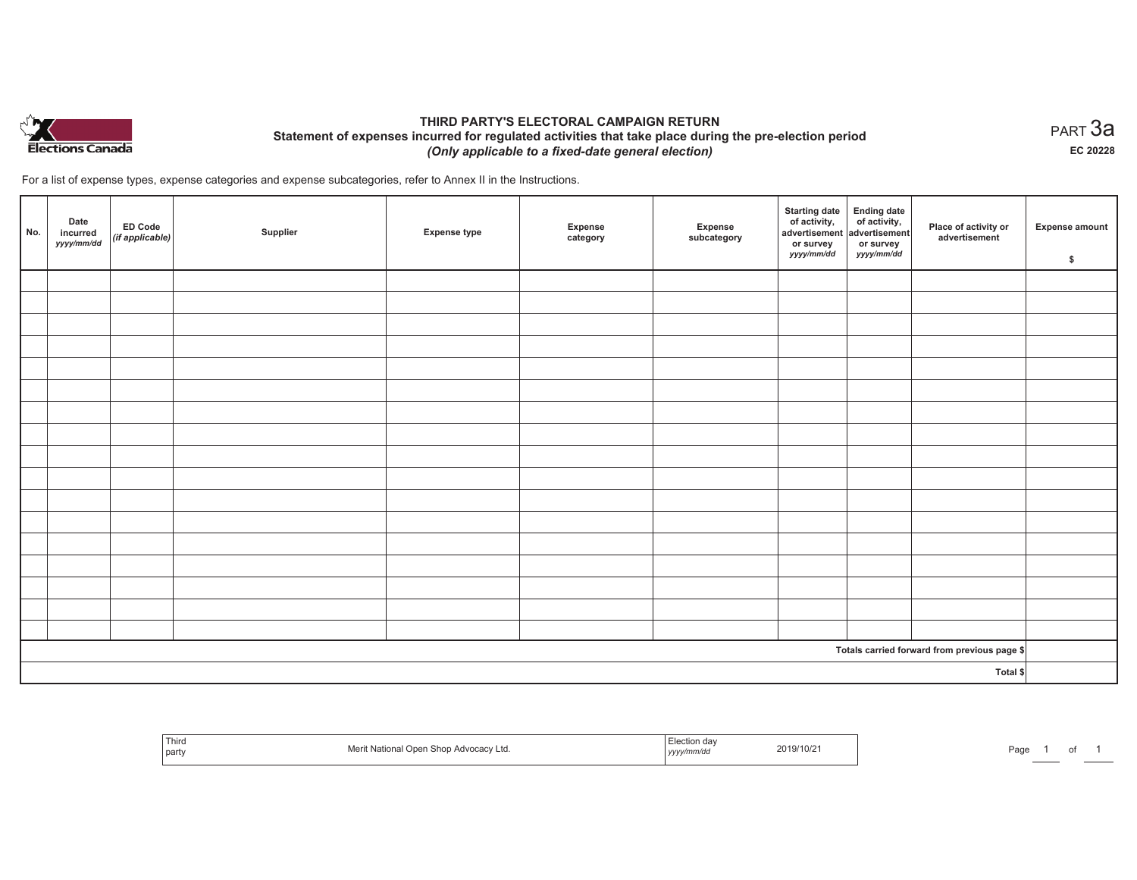

# **THIRD PARTY'S ELECTORAL CAMPAIGN RETURN Statement of expenses incurred for regulated activities that take place during the pre-election period**  *(Only applicable to a fixed-date general election)*

For a list of expense types, expense categories and expense subcategories, refer to Annex II in the Instructions.

| No. | Date<br>incurred<br>yyyy/mm/dd | <b>ED Code</b><br>$($ if applicable $)$ | Supplier | <b>Expense type</b> | Expense<br>category | Expense<br>subcategory | <b>Starting date</b><br>of activity,<br>advertisement<br>or survey<br>yyyy/mm/dd | Ending date<br>of activity,<br>advertisement<br>or survey<br>yyyy/mm/dd | Place of activity or<br>advertisement        | <b>Expense amount</b><br>\$ |
|-----|--------------------------------|-----------------------------------------|----------|---------------------|---------------------|------------------------|----------------------------------------------------------------------------------|-------------------------------------------------------------------------|----------------------------------------------|-----------------------------|
|     |                                |                                         |          |                     |                     |                        |                                                                                  |                                                                         |                                              |                             |
|     |                                |                                         |          |                     |                     |                        |                                                                                  |                                                                         |                                              |                             |
|     |                                |                                         |          |                     |                     |                        |                                                                                  |                                                                         |                                              |                             |
|     |                                |                                         |          |                     |                     |                        |                                                                                  |                                                                         |                                              |                             |
|     |                                |                                         |          |                     |                     |                        |                                                                                  |                                                                         |                                              |                             |
|     |                                |                                         |          |                     |                     |                        |                                                                                  |                                                                         |                                              |                             |
|     |                                |                                         |          |                     |                     |                        |                                                                                  |                                                                         |                                              |                             |
|     |                                |                                         |          |                     |                     |                        |                                                                                  |                                                                         |                                              |                             |
|     |                                |                                         |          |                     |                     |                        |                                                                                  |                                                                         |                                              |                             |
|     |                                |                                         |          |                     |                     |                        |                                                                                  |                                                                         |                                              |                             |
|     |                                |                                         |          |                     |                     |                        |                                                                                  |                                                                         |                                              |                             |
|     |                                |                                         |          |                     |                     |                        |                                                                                  |                                                                         |                                              |                             |
|     |                                |                                         |          |                     |                     |                        |                                                                                  |                                                                         |                                              |                             |
|     |                                |                                         |          |                     |                     |                        |                                                                                  |                                                                         |                                              |                             |
|     |                                |                                         |          |                     |                     |                        |                                                                                  |                                                                         |                                              |                             |
|     |                                |                                         |          |                     |                     |                        |                                                                                  |                                                                         |                                              |                             |
|     |                                |                                         |          |                     |                     |                        |                                                                                  |                                                                         |                                              |                             |
|     |                                |                                         |          |                     |                     |                        |                                                                                  |                                                                         | Totals carried forward from previous page \$ |                             |
|     |                                |                                         |          |                     |                     |                        |                                                                                  |                                                                         | Total \$                                     |                             |

| Third<br>party | I Open Shop Advocacy Ltd. | Election day<br>.<br>yyyynmwuu | 2019/10/2 | Page |  |
|----------------|---------------------------|--------------------------------|-----------|------|--|
|----------------|---------------------------|--------------------------------|-----------|------|--|

 $_{\sf PART}$ 3a **EC 20228**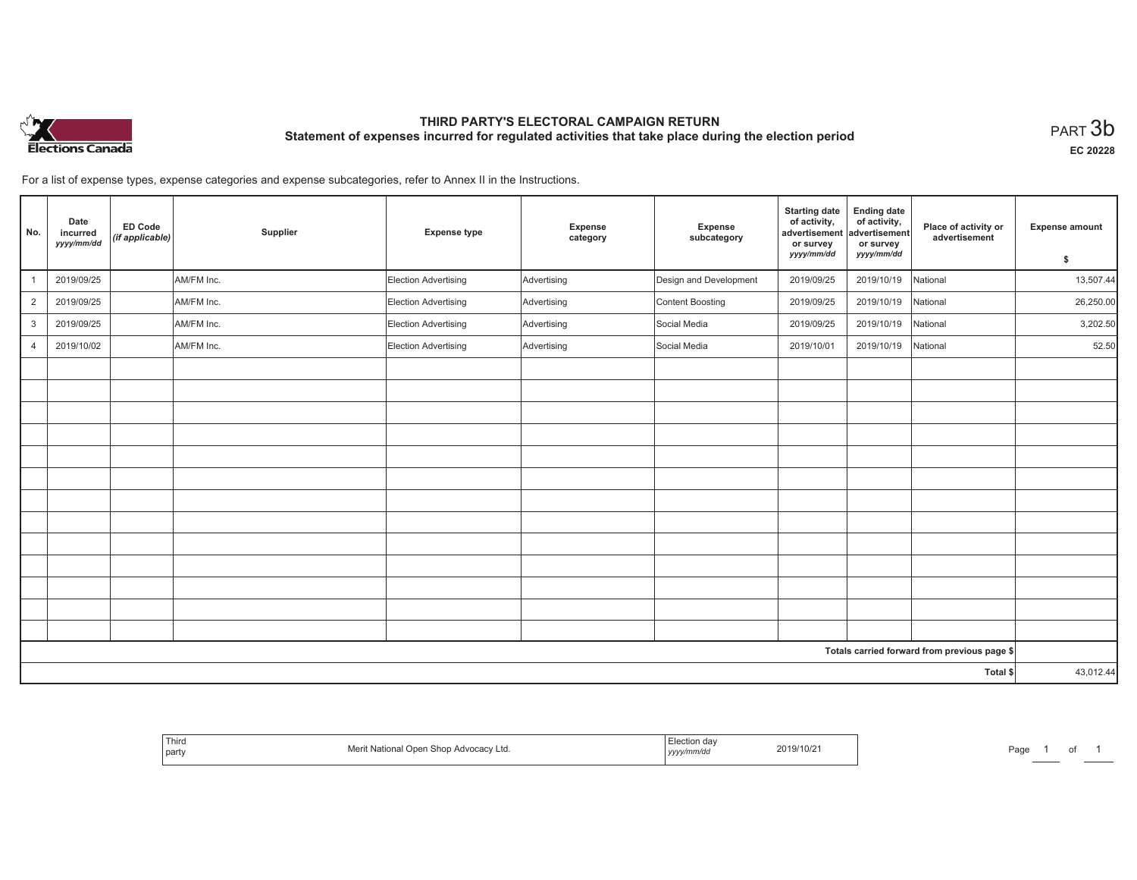

# **THIRD PARTY'S ELECTORAL CAMPAIGN RETURN Statement of expenses incurred for regulated activities that take place during the election period**<br>PART  $3\mathsf{b}$

**EC 20228**

of 1

For a list of expense types, expense categories and expense subcategories, refer to Annex II in the Instructions.

| No.            | Date<br>incurred<br>yyyy/mm/dd | ED Code<br>(if applicable) | Supplier   | <b>Expense type</b>         | Expense<br>category | Expense<br>subcategory | <b>Starting date</b><br>of activity,<br>advertisement<br>or survey | <b>Ending date</b><br>of activity,<br>advertisement<br>or survey | Place of activity or<br>advertisement        | <b>Expense amount</b> |
|----------------|--------------------------------|----------------------------|------------|-----------------------------|---------------------|------------------------|--------------------------------------------------------------------|------------------------------------------------------------------|----------------------------------------------|-----------------------|
|                |                                |                            |            |                             |                     |                        | yyyy/mm/dd                                                         | yyyy/mm/dd                                                       |                                              | \$                    |
|                | 2019/09/25                     |                            | AM/FM Inc. | <b>Election Advertising</b> | Advertising         | Design and Development | 2019/09/25                                                         | 2019/10/19                                                       | National                                     | 13,507.44             |
| $\overline{2}$ | 2019/09/25                     |                            | AM/FM Inc. | <b>Election Advertising</b> | Advertising         | Content Boosting       | 2019/09/25                                                         | 2019/10/19                                                       | National                                     | 26,250.00             |
| 3              | 2019/09/25                     |                            | AM/FM Inc. | Election Advertising        | Advertising         | Social Media           | 2019/09/25                                                         | 2019/10/19                                                       | National                                     | 3,202.50              |
| $\overline{4}$ | 2019/10/02                     |                            | AM/FM Inc. | <b>Election Advertising</b> | Advertising         | Social Media           | 2019/10/01                                                         | 2019/10/19                                                       | National                                     | 52.50                 |
|                |                                |                            |            |                             |                     |                        |                                                                    |                                                                  |                                              |                       |
|                |                                |                            |            |                             |                     |                        |                                                                    |                                                                  |                                              |                       |
|                |                                |                            |            |                             |                     |                        |                                                                    |                                                                  |                                              |                       |
|                |                                |                            |            |                             |                     |                        |                                                                    |                                                                  |                                              |                       |
|                |                                |                            |            |                             |                     |                        |                                                                    |                                                                  |                                              |                       |
|                |                                |                            |            |                             |                     |                        |                                                                    |                                                                  |                                              |                       |
|                |                                |                            |            |                             |                     |                        |                                                                    |                                                                  |                                              |                       |
|                |                                |                            |            |                             |                     |                        |                                                                    |                                                                  |                                              |                       |
|                |                                |                            |            |                             |                     |                        |                                                                    |                                                                  |                                              |                       |
|                |                                |                            |            |                             |                     |                        |                                                                    |                                                                  |                                              |                       |
|                |                                |                            |            |                             |                     |                        |                                                                    |                                                                  |                                              |                       |
|                |                                |                            |            |                             |                     |                        |                                                                    |                                                                  |                                              |                       |
|                |                                |                            |            |                             |                     |                        |                                                                    |                                                                  |                                              |                       |
|                |                                |                            |            |                             |                     |                        |                                                                    |                                                                  | Totals carried forward from previous page \$ |                       |
|                |                                |                            |            |                             |                     |                        |                                                                    |                                                                  | Total \$                                     | 43,012.44             |

| Third<br>Advocacy Ltd<br>----------<br>  party<br>,,,,,<br>™ | 11 I V U (<br>. <i>.</i> . | 2019/10/21<br>Page |
|--------------------------------------------------------------|----------------------------|--------------------|
|--------------------------------------------------------------|----------------------------|--------------------|